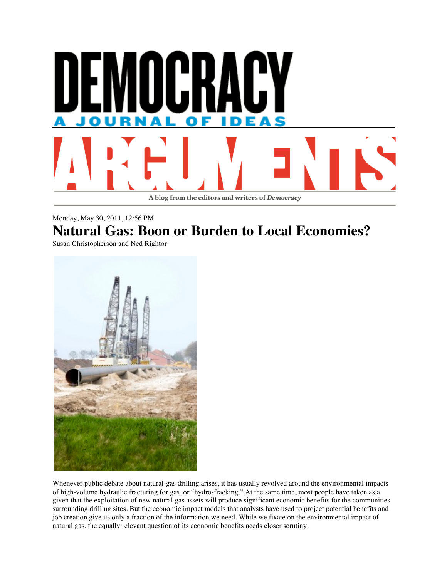

## Monday, May 30, 2011, 12:56 PM **Natural Gas: Boon or Burden to Local Economies?**

Susan Christopherson and Ned Rightor



Whenever public debate about natural-gas drilling arises, it has usually revolved around the environmental impacts of high-volume hydraulic fracturing for gas, or "hydro-fracking." At the same time, most people have taken as a given that the exploitation of new natural gas assets will produce significant economic benefits for the communities surrounding drilling sites. But the economic impact models that analysts have used to project potential benefits and job creation give us only a fraction of the information we need. While we fixate on the environmental impact of natural gas, the equally relevant question of its economic benefits needs closer scrutiny.